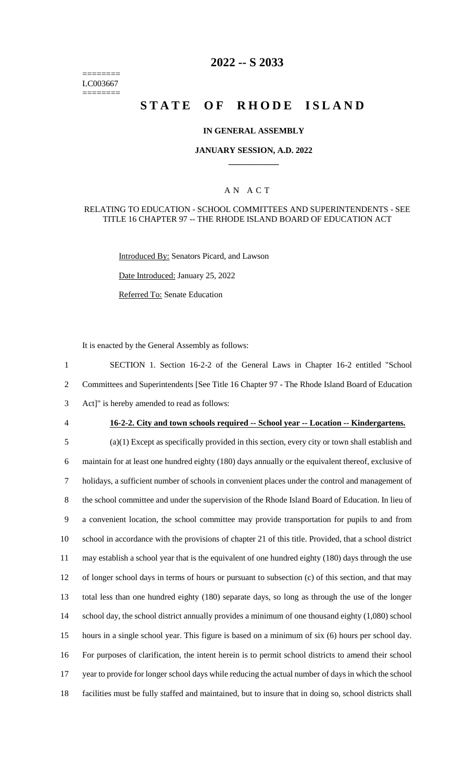======== LC003667 ========

# **2022 -- S 2033**

# **STATE OF RHODE ISLAND**

### **IN GENERAL ASSEMBLY**

#### **JANUARY SESSION, A.D. 2022 \_\_\_\_\_\_\_\_\_\_\_\_**

### A N A C T

#### RELATING TO EDUCATION - SCHOOL COMMITTEES AND SUPERINTENDENTS - SEE TITLE 16 CHAPTER 97 -- THE RHODE ISLAND BOARD OF EDUCATION ACT

Introduced By: Senators Picard, and Lawson

Date Introduced: January 25, 2022

Referred To: Senate Education

It is enacted by the General Assembly as follows:

1 SECTION 1. Section 16-2-2 of the General Laws in Chapter 16-2 entitled "School 2 Committees and Superintendents [See Title 16 Chapter 97 - The Rhode Island Board of Education 3 Act]" is hereby amended to read as follows:

#### 4 **16-2-2. City and town schools required -- School year -- Location -- Kindergartens.**

 (a)(1) Except as specifically provided in this section, every city or town shall establish and maintain for at least one hundred eighty (180) days annually or the equivalent thereof, exclusive of holidays, a sufficient number of schools in convenient places under the control and management of the school committee and under the supervision of the Rhode Island Board of Education. In lieu of a convenient location, the school committee may provide transportation for pupils to and from school in accordance with the provisions of chapter 21 of this title. Provided, that a school district may establish a school year that is the equivalent of one hundred eighty (180) days through the use of longer school days in terms of hours or pursuant to subsection (c) of this section, and that may total less than one hundred eighty (180) separate days, so long as through the use of the longer 14 school day, the school district annually provides a minimum of one thousand eighty (1,080) school hours in a single school year. This figure is based on a minimum of six (6) hours per school day. For purposes of clarification, the intent herein is to permit school districts to amend their school year to provide for longer school days while reducing the actual number of days in which the school facilities must be fully staffed and maintained, but to insure that in doing so, school districts shall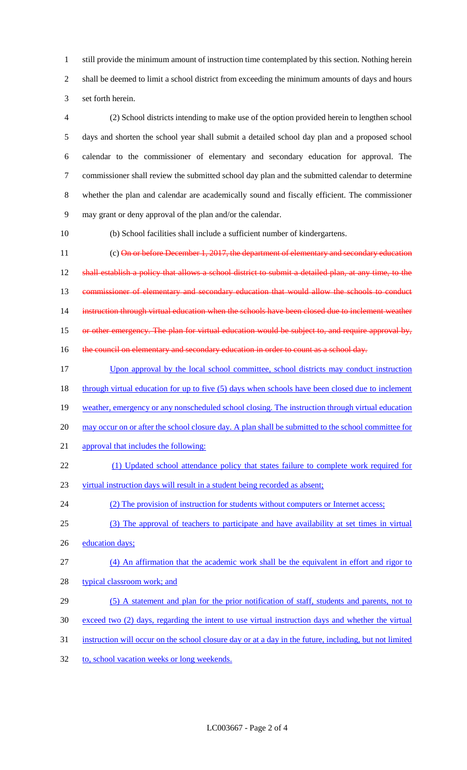1 still provide the minimum amount of instruction time contemplated by this section. Nothing herein 2 shall be deemed to limit a school district from exceeding the minimum amounts of days and hours 3 set forth herein.

 (2) School districts intending to make use of the option provided herein to lengthen school days and shorten the school year shall submit a detailed school day plan and a proposed school calendar to the commissioner of elementary and secondary education for approval. The commissioner shall review the submitted school day plan and the submitted calendar to determine whether the plan and calendar are academically sound and fiscally efficient. The commissioner may grant or deny approval of the plan and/or the calendar.

10 (b) School facilities shall include a sufficient number of kindergartens.

11 (c) On or before December 1, 2017, the department of elementary and secondary education 12 shall establish a policy that allows a school district to submit a detailed plan, at any time, to the 13 commissioner of elementary and secondary education that would allow the schools to conduct 14 instruction through virtual education when the schools have been closed due to inclement weather 15 or other emergency. The plan for virtual education would be subject to, and require approval by, 16 the council on elementary and secondary education in order to count as a school day.

- 17 Upon approval by the local school committee, school districts may conduct instruction 18 through virtual education for up to five (5) days when schools have been closed due to inclement
- 19 weather, emergency or any nonscheduled school closing. The instruction through virtual education
- 20 may occur on or after the school closure day. A plan shall be submitted to the school committee for
- 21 approval that includes the following:
- 22 (1) Updated school attendance policy that states failure to complete work required for
- 23 virtual instruction days will result in a student being recorded as absent;

24 (2) The provision of instruction for students without computers or Internet access;

- 25 (3) The approval of teachers to participate and have availability at set times in virtual
- 26 education days;
- 27 (4) An affirmation that the academic work shall be the equivalent in effort and rigor to
- 28 typical classroom work; and
- 29 (5) A statement and plan for the prior notification of staff, students and parents, not to
- 30 exceed two (2) days, regarding the intent to use virtual instruction days and whether the virtual
- 31 instruction will occur on the school closure day or at a day in the future, including, but not limited
- 32 to, school vacation weeks or long weekends.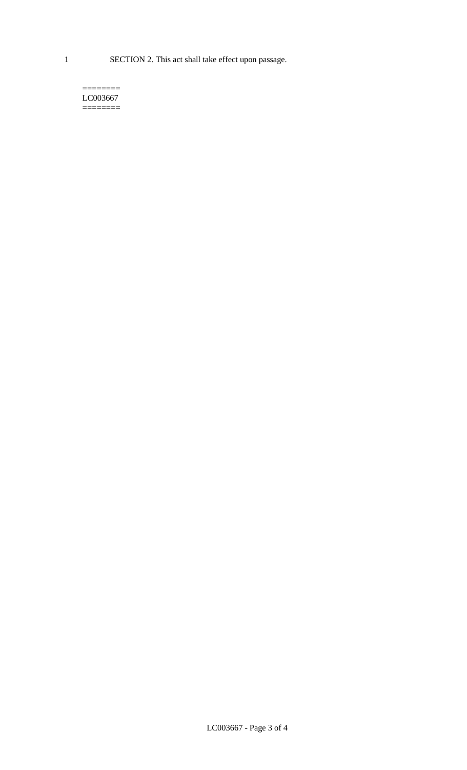1 SECTION 2. This act shall take effect upon passage.

#### $=$ LC003667 ========